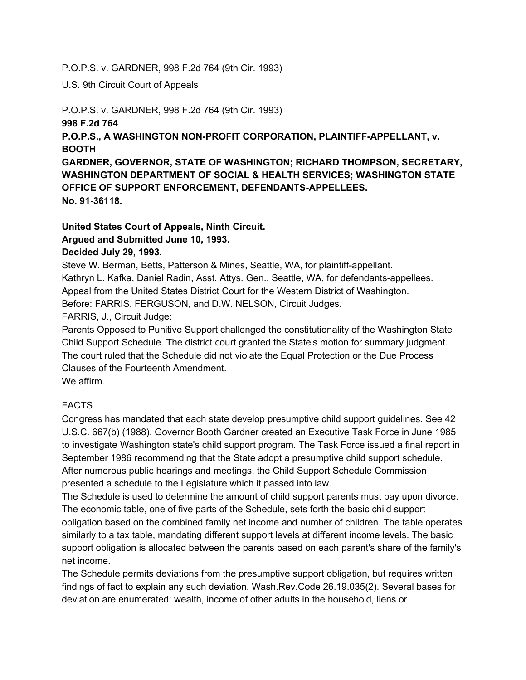#### P.O.P.S. v. GARDNER, 998 F.2d 764 (9th Cir. 1993)

U.S. 9th Circuit Court of Appeals

P.O.P.S. v. GARDNER, 998 F.2d 764 (9th Cir. 1993)

#### **998 F.2d 764**

**P.O.P.S., A WASHINGTON NONPROFIT CORPORATION, PLAINTIFFAPPELLANT, v. BOOTH**

**GARDNER, GOVERNOR, STATE OF WASHINGTON; RICHARD THOMPSON, SECRETARY, WASHINGTON DEPARTMENT OF SOCIAL & HEALTH SERVICES; WASHINGTON STATE OFFICE OF SUPPORT ENFORCEMENT, DEFENDANTSAPPELLEES. No. 9136118.**

## **United States Court of Appeals, Ninth Circuit.**

## **Argued and Submitted June 10, 1993.**

## **Decided July 29, 1993.**

Steve W. Berman, Betts, Patterson & Mines, Seattle, WA, for plaintiff-appellant. Kathryn L. Kafka, Daniel Radin, Asst. Attys. Gen., Seattle, WA, for defendants-appellees. Appeal from the United States District Court for the Western District of Washington. Before: FARRIS, FERGUSON, and D.W. NELSON, Circuit Judges.

FARRIS, J., Circuit Judge:

Parents Opposed to Punitive Support challenged the constitutionality of the Washington State Child Support Schedule. The district court granted the State's motion for summary judgment. The court ruled that the Schedule did not violate the Equal Protection or the Due Process Clauses of the Fourteenth Amendment.

We affirm.

# FACTS

Congress has mandated that each state develop presumptive child support guidelines. See 42 U.S.C. 667(b) (1988). Governor Booth Gardner created an Executive Task Force in June 1985 to investigate Washington state's child support program. The Task Force issued a final report in September 1986 recommending that the State adopt a presumptive child support schedule. After numerous public hearings and meetings, the Child Support Schedule Commission presented a schedule to the Legislature which it passed into law.

The Schedule is used to determine the amount of child support parents must pay upon divorce. The economic table, one of five parts of the Schedule, sets forth the basic child support obligation based on the combined family net income and number of children. The table operates similarly to a tax table, mandating different support levels at different income levels. The basic support obligation is allocated between the parents based on each parent's share of the family's net income.

The Schedule permits deviations from the presumptive support obligation, but requires written findings of fact to explain any such deviation. Wash.Rev.Code 26.19.035(2). Several bases for deviation are enumerated: wealth, income of other adults in the household, liens or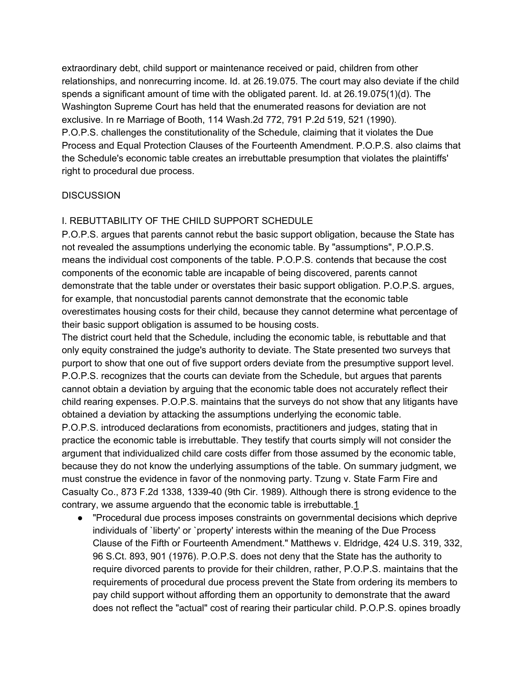extraordinary debt, child support or maintenance received or paid, children from other relationships, and nonrecurring income. Id. at 26.19.075. The court may also deviate if the child spends a significant amount of time with the obligated parent. Id. at 26.19.075(1)(d). The Washington Supreme Court has held that the enumerated reasons for deviation are not exclusive. In re Marriage of Booth, 114 Wash.2d 772, 791 P.2d 519, 521 (1990). P.O.P.S. challenges the constitutionality of the Schedule, claiming that it violates the Due Process and Equal Protection Clauses of the Fourteenth Amendment. P.O.P.S. also claims that the Schedule's economic table creates an irrebuttable presumption that violates the plaintiffs' right to procedural due process.

#### **DISCUSSION**

#### I. REBUTTABILITY OF THE CHILD SUPPORT SCHEDULE

P.O.P.S. argues that parents cannot rebut the basic support obligation, because the State has not revealed the assumptions underlying the economic table. By "assumptions", P.O.P.S. means the individual cost components of the table. P.O.P.S. contends that because the cost components of the economic table are incapable of being discovered, parents cannot demonstrate that the table under or overstates their basic support obligation. P.O.P.S. argues, for example, that noncustodial parents cannot demonstrate that the economic table overestimates housing costs for their child, because they cannot determine what percentage of their basic support obligation is assumed to be housing costs.

The district court held that the Schedule, including the economic table, is rebuttable and that only equity constrained the judge's authority to deviate. The State presented two surveys that purport to show that one out of five support orders deviate from the presumptive support level. P.O.P.S. recognizes that the courts can deviate from the Schedule, but argues that parents cannot obtain a deviation by arguing that the economic table does not accurately reflect their child rearing expenses. P.O.P.S. maintains that the surveys do not show that any litigants have obtained a deviation by attacking the assumptions underlying the economic table.

P.O.P.S. introduced declarations from economists, practitioners and judges, stating that in practice the economic table is irrebuttable. They testify that courts simply will not consider the argument that individualized child care costs differ from those assumed by the economic table, because they do not know the underlying assumptions of the table. On summary judgment, we must construe the evidence in favor of the nonmoving party. Tzung v. State Farm Fire and Casualty Co., 873 F.2d 1338, 133940 (9th Cir. 1989). Although there is strong evidence to the contrary, we assume arguendo that the economic table is irrebuttable[.1](http://www.dadsnow.org/legal/pops.htm#F1)

● "Procedural due process imposes constraints on governmental decisions which deprive individuals of `liberty' or `property' interests within the meaning of the Due Process Clause of the Fifth or Fourteenth Amendment." Matthews v. Eldridge, 424 U.S. 319, 332, 96 S.Ct. 893, 901 (1976). P.O.P.S. does not deny that the State has the authority to require divorced parents to provide for their children, rather, P.O.P.S. maintains that the requirements of procedural due process prevent the State from ordering its members to pay child support without affording them an opportunity to demonstrate that the award does not reflect the "actual" cost of rearing their particular child. P.O.P.S. opines broadly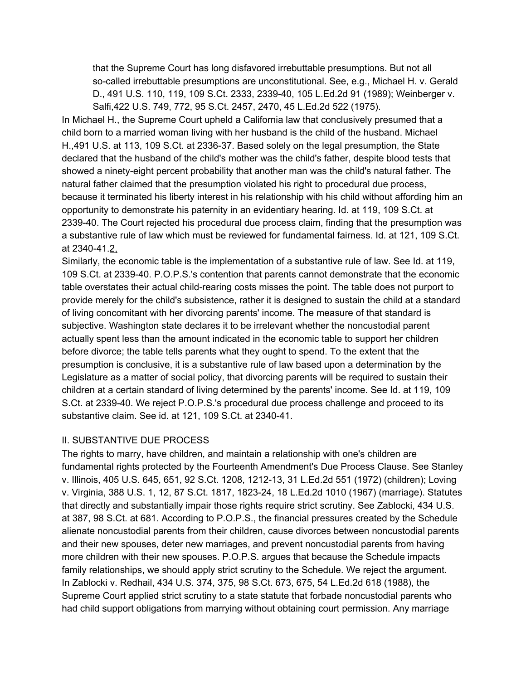that the Supreme Court has long disfavored irrebuttable presumptions. But not all so-called irrebuttable presumptions are unconstitutional. See, e.g., Michael H. v. Gerald D., 491 U.S. 110, 119, 109 S.Ct. 2333, 233940, 105 L.Ed.2d 91 (1989); Weinberger v. Salfi,422 U.S. 749, 772, 95 S.Ct. 2457, 2470, 45 L.Ed.2d 522 (1975).

In Michael H., the Supreme Court upheld a California law that conclusively presumed that a child born to a married woman living with her husband is the child of the husband. Michael H.,491 U.S. at 113, 109 S.Ct. at 2336-37. Based solely on the legal presumption, the State declared that the husband of the child's mother was the child's father, despite blood tests that showed a ninety-eight percent probability that another man was the child's natural father. The natural father claimed that the presumption violated his right to procedural due process, because it terminated his liberty interest in his relationship with his child without affording him an opportunity to demonstrate his paternity in an evidentiary hearing. Id. at 119, 109 S.Ct. at 233940. The Court rejected his procedural due process claim, finding that the presumption was a substantive rule of law which must be reviewed for fundamental fairness. Id. at 121, 109 S.Ct. at 234041.[2,](http://www.dadsnow.org/legal/pops.htm#F2)

Similarly, the economic table is the implementation of a substantive rule of law. See Id. at 119, 109 S.Ct. at 233940. P.O.P.S.'s contention that parents cannot demonstrate that the economic table overstates their actual child-rearing costs misses the point. The table does not purport to provide merely for the child's subsistence, rather it is designed to sustain the child at a standard of living concomitant with her divorcing parents' income. The measure of that standard is subjective. Washington state declares it to be irrelevant whether the noncustodial parent actually spent less than the amount indicated in the economic table to support her children before divorce; the table tells parents what they ought to spend. To the extent that the presumption is conclusive, it is a substantive rule of law based upon a determination by the Legislature as a matter of social policy, that divorcing parents will be required to sustain their children at a certain standard of living determined by the parents' income. See Id. at 119, 109 S.Ct. at 233940. We reject P.O.P.S.'s procedural due process challenge and proceed to its substantive claim. See id. at 121, 109 S.Ct. at 2340-41.

#### II. SUBSTANTIVE DUE PROCESS

The rights to marry, have children, and maintain a relationship with one's children are fundamental rights protected by the Fourteenth Amendment's Due Process Clause. See Stanley v. Illinois, 405 U.S. 645, 651, 92 S.Ct. 1208, 1212-13, 31 L.Ed.2d 551 (1972) (children); Loving v. Virginia, 388 U.S. 1, 12, 87 S.Ct. 1817, 182324, 18 L.Ed.2d 1010 (1967) (marriage). Statutes that directly and substantially impair those rights require strict scrutiny. See Zablocki, 434 U.S. at 387, 98 S.Ct. at 681. According to P.O.P.S., the financial pressures created by the Schedule alienate noncustodial parents from their children, cause divorces between noncustodial parents and their new spouses, deter new marriages, and prevent noncustodial parents from having more children with their new spouses. P.O.P.S. argues that because the Schedule impacts family relationships, we should apply strict scrutiny to the Schedule. We reject the argument. In Zablocki v. Redhail, 434 U.S. 374, 375, 98 S.Ct. 673, 675, 54 L.Ed.2d 618 (1988), the Supreme Court applied strict scrutiny to a state statute that forbade noncustodial parents who had child support obligations from marrying without obtaining court permission. Any marriage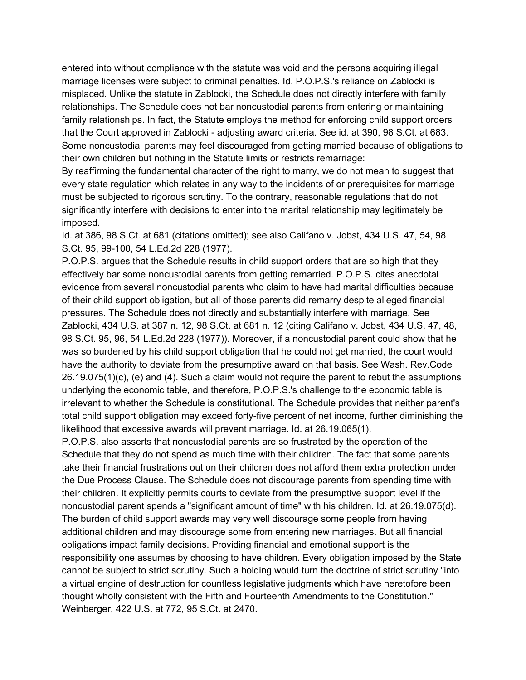entered into without compliance with the statute was void and the persons acquiring illegal marriage licenses were subject to criminal penalties. Id. P.O.P.S.'s reliance on Zablocki is misplaced. Unlike the statute in Zablocki, the Schedule does not directly interfere with family relationships. The Schedule does not bar noncustodial parents from entering or maintaining family relationships. In fact, the Statute employs the method for enforcing child support orders that the Court approved in Zablocki - adjusting award criteria. See id. at 390, 98 S.Ct. at 683. Some noncustodial parents may feel discouraged from getting married because of obligations to their own children but nothing in the Statute limits or restricts remarriage:

By reaffirming the fundamental character of the right to marry, we do not mean to suggest that every state regulation which relates in any way to the incidents of or prerequisites for marriage must be subjected to rigorous scrutiny. To the contrary, reasonable regulations that do not significantly interfere with decisions to enter into the marital relationship may legitimately be imposed.

Id. at 386, 98 S.Ct. at 681 (citations omitted); see also Califano v. Jobst, 434 U.S. 47, 54, 98 S.Ct. 95, 99-100, 54 L.Ed.2d 228 (1977).

P.O.P.S. argues that the Schedule results in child support orders that are so high that they effectively bar some noncustodial parents from getting remarried. P.O.P.S. cites anecdotal evidence from several noncustodial parents who claim to have had marital difficulties because of their child support obligation, but all of those parents did remarry despite alleged financial pressures. The Schedule does not directly and substantially interfere with marriage. See Zablocki, 434 U.S. at 387 n. 12, 98 S.Ct. at 681 n. 12 (citing Califano v. Jobst, 434 U.S. 47, 48, 98 S.Ct. 95, 96, 54 L.Ed.2d 228 (1977)). Moreover, if a noncustodial parent could show that he was so burdened by his child support obligation that he could not get married, the court would have the authority to deviate from the presumptive award on that basis. See Wash. Rev.Code 26.19.075(1)(c), (e) and (4). Such a claim would not require the parent to rebut the assumptions underlying the economic table, and therefore, P.O.P.S.'s challenge to the economic table is irrelevant to whether the Schedule is constitutional. The Schedule provides that neither parent's total child support obligation may exceed forty-five percent of net income, further diminishing the likelihood that excessive awards will prevent marriage. Id. at 26.19.065(1).

P.O.P.S. also asserts that noncustodial parents are so frustrated by the operation of the Schedule that they do not spend as much time with their children. The fact that some parents take their financial frustrations out on their children does not afford them extra protection under the Due Process Clause. The Schedule does not discourage parents from spending time with their children. It explicitly permits courts to deviate from the presumptive support level if the noncustodial parent spends a "significant amount of time" with his children. Id. at 26.19.075(d). The burden of child support awards may very well discourage some people from having additional children and may discourage some from entering new marriages. But all financial obligations impact family decisions. Providing financial and emotional support is the responsibility one assumes by choosing to have children. Every obligation imposed by the State cannot be subject to strict scrutiny. Such a holding would turn the doctrine of strict scrutiny "into a virtual engine of destruction for countless legislative judgments which have heretofore been thought wholly consistent with the Fifth and Fourteenth Amendments to the Constitution." Weinberger, 422 U.S. at 772, 95 S.Ct. at 2470.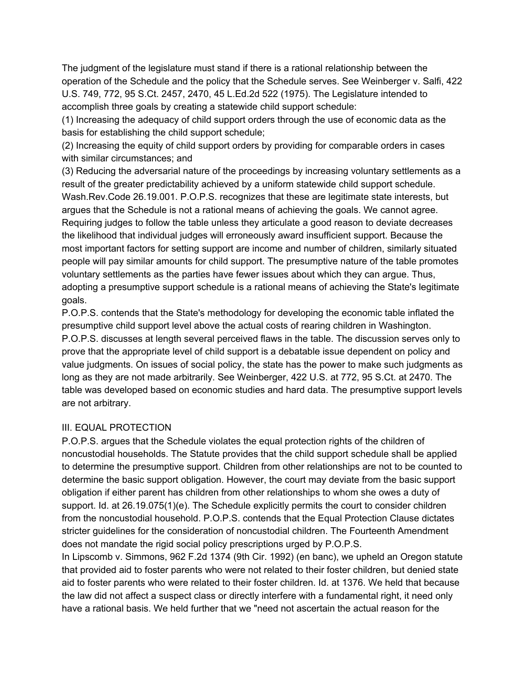The judgment of the legislature must stand if there is a rational relationship between the operation of the Schedule and the policy that the Schedule serves. See Weinberger v. Salfi, 422 U.S. 749, 772, 95 S.Ct. 2457, 2470, 45 L.Ed.2d 522 (1975). The Legislature intended to accomplish three goals by creating a statewide child support schedule:

(1) Increasing the adequacy of child support orders through the use of economic data as the basis for establishing the child support schedule;

(2) Increasing the equity of child support orders by providing for comparable orders in cases with similar circumstances; and

(3) Reducing the adversarial nature of the proceedings by increasing voluntary settlements as a result of the greater predictability achieved by a uniform statewide child support schedule. Wash.Rev.Code 26.19.001. P.O.P.S. recognizes that these are legitimate state interests, but argues that the Schedule is not a rational means of achieving the goals. We cannot agree. Requiring judges to follow the table unless they articulate a good reason to deviate decreases the likelihood that individual judges will erroneously award insufficient support. Because the most important factors for setting support are income and number of children, similarly situated people will pay similar amounts for child support. The presumptive nature of the table promotes voluntary settlements as the parties have fewer issues about which they can argue. Thus, adopting a presumptive support schedule is a rational means of achieving the State's legitimate goals.

P.O.P.S. contends that the State's methodology for developing the economic table inflated the presumptive child support level above the actual costs of rearing children in Washington. P.O.P.S. discusses at length several perceived flaws in the table. The discussion serves only to prove that the appropriate level of child support is a debatable issue dependent on policy and value judgments. On issues of social policy, the state has the power to make such judgments as long as they are not made arbitrarily. See Weinberger, 422 U.S. at 772, 95 S.Ct. at 2470. The table was developed based on economic studies and hard data. The presumptive support levels are not arbitrary.

## III. EQUAL PROTECTION

P.O.P.S. argues that the Schedule violates the equal protection rights of the children of noncustodial households. The Statute provides that the child support schedule shall be applied to determine the presumptive support. Children from other relationships are not to be counted to determine the basic support obligation. However, the court may deviate from the basic support obligation if either parent has children from other relationships to whom she owes a duty of support. Id. at 26.19.075(1)(e). The Schedule explicitly permits the court to consider children from the noncustodial household. P.O.P.S. contends that the Equal Protection Clause dictates stricter guidelines for the consideration of noncustodial children. The Fourteenth Amendment does not mandate the rigid social policy prescriptions urged by P.O.P.S.

In Lipscomb v. Simmons, 962 F.2d 1374 (9th Cir. 1992) (en banc), we upheld an Oregon statute that provided aid to foster parents who were not related to their foster children, but denied state aid to foster parents who were related to their foster children. Id. at 1376. We held that because the law did not affect a suspect class or directly interfere with a fundamental right, it need only have a rational basis. We held further that we "need not ascertain the actual reason for the